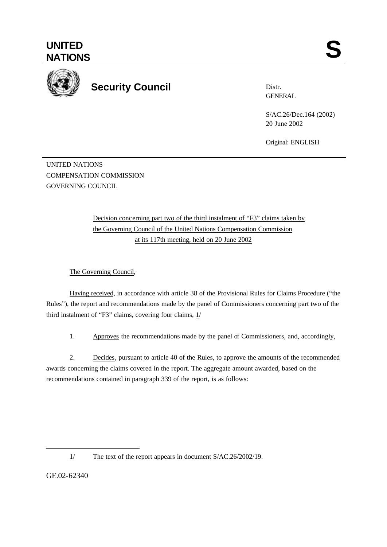

Distr. **GENERAL** 

S/AC.26/Dec.164 (2002) 20 June 2002

Original: ENGLISH

UNITED NATIONS COMPENSATION COMMISSION GOVERNING COUNCIL

> Decision concerning part two of the third instalment of "F3" claims taken by the Governing Council of the United Nations Compensation Commission at its 117th meeting, held on 20 June 2002

The Governing Council,

Having received, in accordance with article 38 of the Provisional Rules for Claims Procedure ("the Rules"), the report and recommendations made by the panel of Commissioners concerning part two of the third instalment of "F3" claims, covering four claims, 1/

1. Approves the recommendations made by the panel of Commissioners, and, accordingly,

2. Decides, pursuant to article 40 of the Rules, to approve the amounts of the recommended awards concerning the claims covered in the report. The aggregate amount awarded, based on the recommendations contained in paragraph 339 of the report, is as follows:

GE.02-62340

l

<sup>1/</sup> The text of the report appears in document S/AC.26/2002/19.